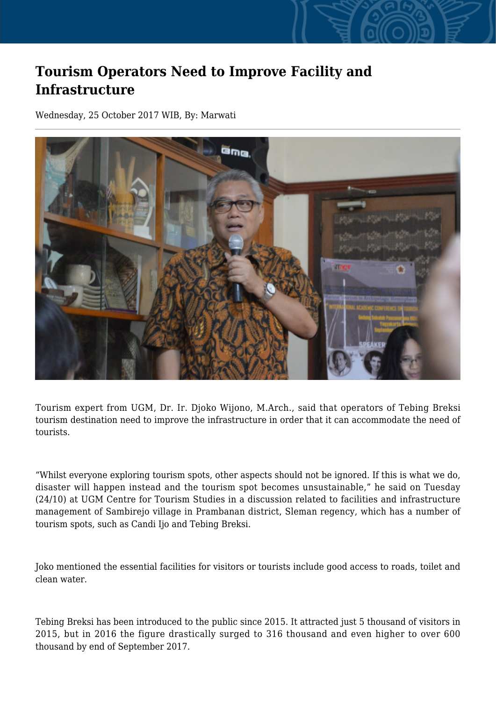## **Tourism Operators Need to Improve Facility and Infrastructure**

Wednesday, 25 October 2017 WIB, By: Marwati



Tourism expert from UGM, Dr. Ir. Djoko Wijono, M.Arch., said that operators of Tebing Breksi tourism destination need to improve the infrastructure in order that it can accommodate the need of tourists.

"Whilst everyone exploring tourism spots, other aspects should not be ignored. If this is what we do, disaster will happen instead and the tourism spot becomes unsustainable," he said on Tuesday (24/10) at UGM Centre for Tourism Studies in a discussion related to facilities and infrastructure management of Sambirejo village in Prambanan district, Sleman regency, which has a number of tourism spots, such as Candi Ijo and Tebing Breksi.

Joko mentioned the essential facilities for visitors or tourists include good access to roads, toilet and clean water.

Tebing Breksi has been introduced to the public since 2015. It attracted just 5 thousand of visitors in 2015, but in 2016 the figure drastically surged to 316 thousand and even higher to over 600 thousand by end of September 2017.